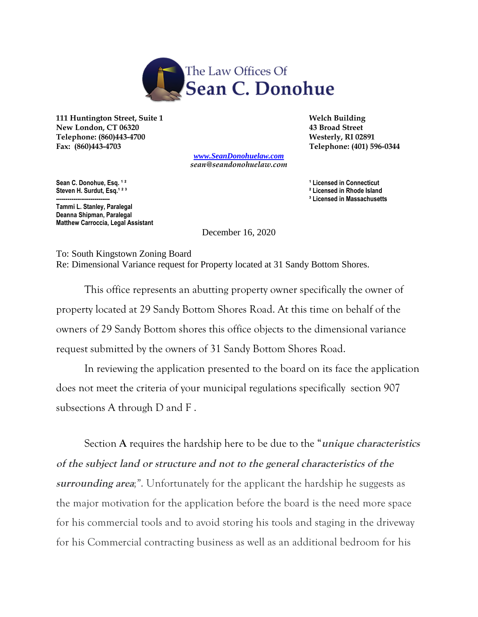

111 Huntington Street, Suite 1 **Welch Building Welch Building New London, CT 06320 43 Broad Street Telephone: (860)443-4700 Westerly, RI 02891 Fax: (860)443-4703 Telephone: (401) 596-0344** 

> *[www.SeanDonohuelaw.com](http://www.seandonohuelaw.com/) sean@seandonohuelaw.com*

Sean C. Donohue, Esq. <sup>12</sup><br>
Steven H. Surdut, Esq.<sup>123</sup><br>
Steven H. Surdut, Esq.<sup>123</sup>

**Tammi L. Stanley, Paralegal Deanna Shipman, Paralegal Matthew Carroccia, Legal Assistant**

<sup>2</sup> Licensed in Rhode Island <sup>3</sup> Licensed in Massachusetts

December 16, 2020

To: South Kingstown Zoning Board Re: Dimensional Variance request for Property located at 31 Sandy Bottom Shores.

This office represents an abutting property owner specifically the owner of property located at 29 Sandy Bottom Shores Road. At this time on behalf of the owners of 29 Sandy Bottom shores this office objects to the dimensional variance request submitted by the owners of 31 Sandy Bottom Shores Road.

In reviewing the application presented to the board on its face the application does not meet the criteria of your municipal regulations specifically section 907 subsections A through D and F .

Section **A** requires the hardship here to be due to the "**unique characteristics of the subject land or structure and not to the general characteristics of the surrounding area***;"*. Unfortunately for the applicant the hardship he suggests as the major motivation for the application before the board is the need more space for his commercial tools and to avoid storing his tools and staging in the driveway for his Commercial contracting business as well as an additional bedroom for his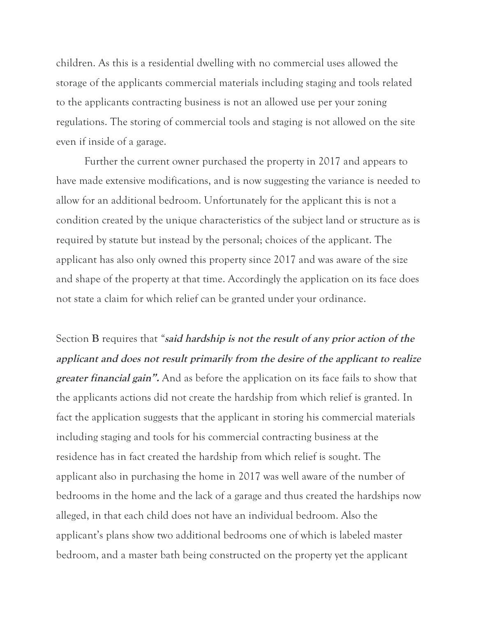children. As this is a residential dwelling with no commercial uses allowed the storage of the applicants commercial materials including staging and tools related to the applicants contracting business is not an allowed use per your zoning regulations. The storing of commercial tools and staging is not allowed on the site even if inside of a garage.

Further the current owner purchased the property in 2017 and appears to have made extensive modifications, and is now suggesting the variance is needed to allow for an additional bedroom. Unfortunately for the applicant this is not a condition created by the unique characteristics of the subject land or structure as is required by statute but instead by the personal; choices of the applicant. The applicant has also only owned this property since 2017 and was aware of the size and shape of the property at that time. Accordingly the application on its face does not state a claim for which relief can be granted under your ordinance.

Section **B** requires that *"***said hardship is not the result of any prior action of the applicant and does not result primarily from the desire of the applicant to realize greater financial gain".** And as before the application on its face fails to show that the applicants actions did not create the hardship from which relief is granted. In fact the application suggests that the applicant in storing his commercial materials including staging and tools for his commercial contracting business at the residence has in fact created the hardship from which relief is sought. The applicant also in purchasing the home in 2017 was well aware of the number of bedrooms in the home and the lack of a garage and thus created the hardships now alleged, in that each child does not have an individual bedroom. Also the applicant's plans show two additional bedrooms one of which is labeled master bedroom, and a master bath being constructed on the property yet the applicant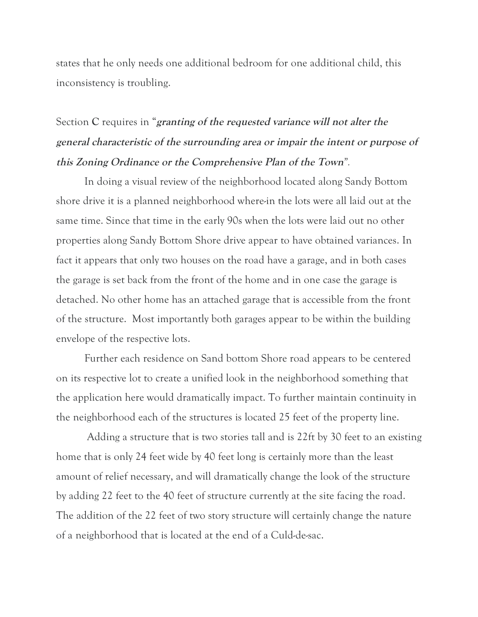states that he only needs one additional bedroom for one additional child, this inconsistency is troubling.

## Section **C** requires in "**granting of the requested variance will not alter the general characteristic of the surrounding area or impair the intent or purpose of this Zoning Ordinance or the Comprehensive Plan of the Town***".*

In doing a visual review of the neighborhood located along Sandy Bottom shore drive it is a planned neighborhood where-in the lots were all laid out at the same time. Since that time in the early 90s when the lots were laid out no other properties along Sandy Bottom Shore drive appear to have obtained variances. In fact it appears that only two houses on the road have a garage, and in both cases the garage is set back from the front of the home and in one case the garage is detached. No other home has an attached garage that is accessible from the front of the structure. Most importantly both garages appear to be within the building envelope of the respective lots.

Further each residence on Sand bottom Shore road appears to be centered on its respective lot to create a unified look in the neighborhood something that the application here would dramatically impact. To further maintain continuity in the neighborhood each of the structures is located 25 feet of the property line.

 Adding a structure that is two stories tall and is 22ft by 30 feet to an existing home that is only 24 feet wide by 40 feet long is certainly more than the least amount of relief necessary, and will dramatically change the look of the structure by adding 22 feet to the 40 feet of structure currently at the site facing the road. The addition of the 22 feet of two story structure will certainly change the nature of a neighborhood that is located at the end of a Culd-de-sac.